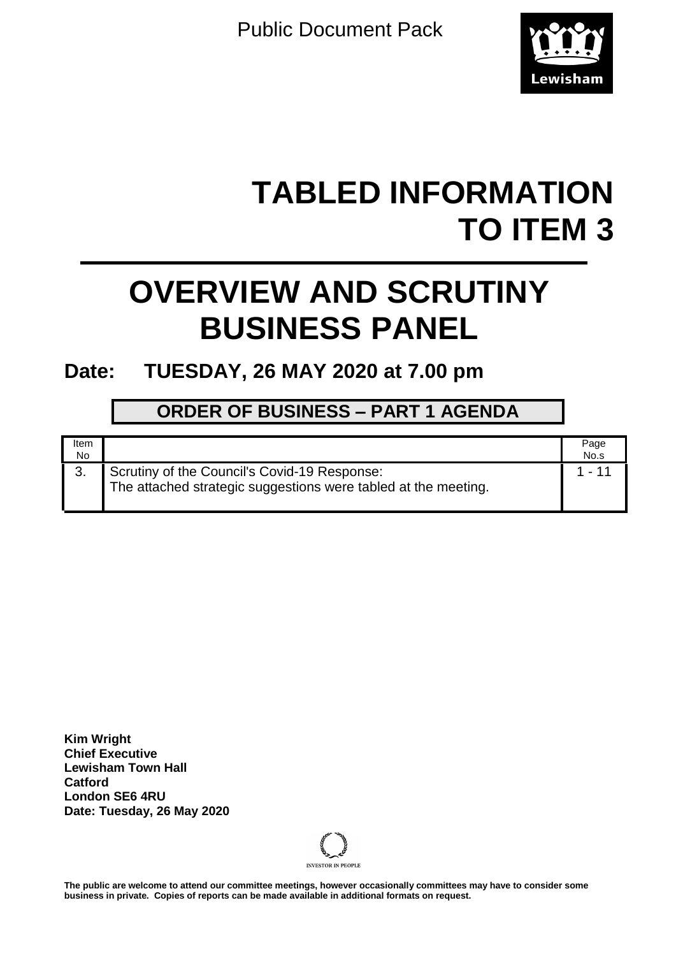Public Document Pack



# **TABLED INFORMATION TO ITEM 3**

# **OVERVIEW AND SCRUTINY BUSINESS PANEL**

# **Date: TUESDAY, 26 MAY 2020 at 7.00 pm**

# **ORDER OF BUSINESS – PART 1 AGENDA**

| Item<br>No |                                                                                                                | Page<br>No.s |
|------------|----------------------------------------------------------------------------------------------------------------|--------------|
| 3.         | Scrutiny of the Council's Covid-19 Response:<br>The attached strategic suggestions were tabled at the meeting. |              |

**Kim Wright Chief Executive Lewisham Town Hall Catford London SE6 4RU Date: Tuesday, 26 May 2020**



**The public are welcome to attend our committee meetings, however occasionally committees may have to consider some business in private. Copies of reports can be made available in additional formats on request.**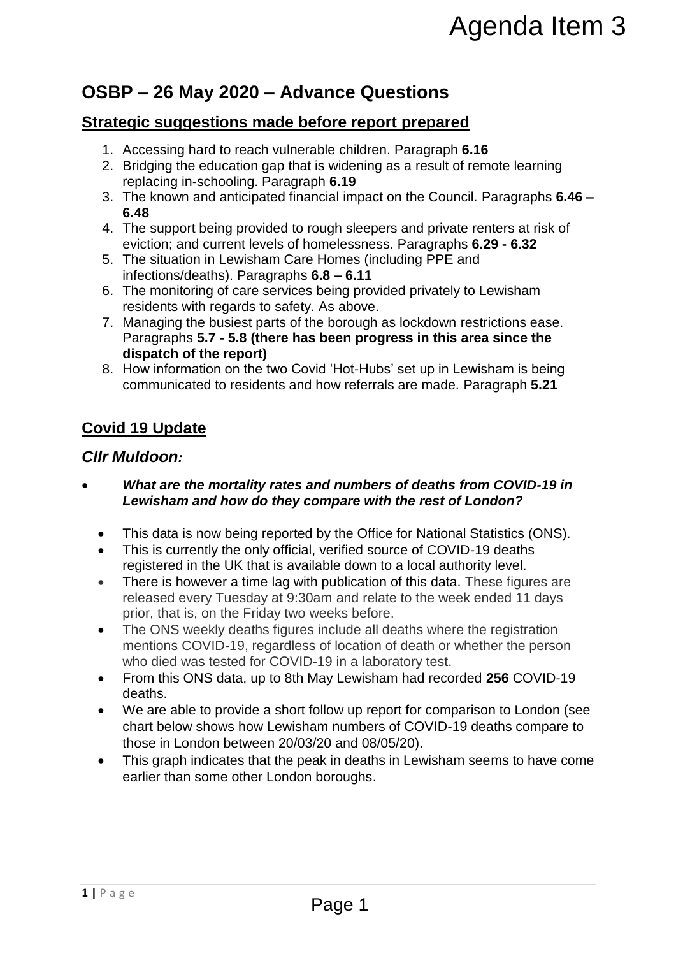# **OSBP – 26 May 2020 – Advance Questions**

# **Strategic suggestions made before report prepared**

- 1. Accessing hard to reach vulnerable children. Paragraph **6.16**
- 2. Bridging the education gap that is widening as a result of remote learning replacing in-schooling. Paragraph **6.19**
- 3. The known and anticipated financial impact on the Council. Paragraphs **6.46 – 6.48**
- 4. The support being provided to rough sleepers and private renters at risk of eviction; and current levels of homelessness. Paragraphs **6.29 - 6.32**
- 5. The situation in Lewisham Care Homes (including PPE and infections/deaths). Paragraphs **6.8 – 6.11**
- 6. The monitoring of care services being provided privately to Lewisham residents with regards to safety. As above.
- 7. Managing the busiest parts of the borough as lockdown restrictions ease. Paragraphs **5.7 - 5.8 (there has been progress in this area since the dispatch of the report)**
- 8. How information on the two Covid 'Hot-Hubs' set up in Lewisham is being communicated to residents and how referrals are made. Paragraph **5.21**

# **Covid 19 Update**

### *Cllr Muldoon:*

- *What are the mortality rates and numbers of deaths from COVID-19 in Lewisham and how do they compare with the rest of London?*
	- This data is now being reported by the Office for National Statistics (ONS).
	- This is currently the only official, verified source of COVID-19 deaths registered in the UK that is available down to a local authority level.
	- There is however a time lag with publication of this data. These figures are released every Tuesday at 9:30am and relate to the week ended 11 days prior, that is, on the Friday two weeks before.
	- The ONS weekly deaths figures include all deaths where the registration mentions COVID-19, regardless of location of death or whether the person who died was tested for COVID-19 in a laboratory test.
	- From this ONS data, up to 8th May Lewisham had recorded **256** COVID-19 deaths.
- We are able to provide a short follow up report for comparison to London (see chart below shows how Lewisham numbers of COVID-19 deaths compare to those in London between 20/03/20 and 08/05/20). Agenda Item 3<br>
sance Questions<br>
sfore report prepared<br>
able children. Paragraph 6.16<br>
is widening as a result of remote learning<br>
in 6.19<br>
motal impact on the Council. Paragraphs 6.46–<br>
motels sness. Paragraphs 6.29 – 6.32
	- This graph indicates that the peak in deaths in Lewisham seems to have come earlier than some other London boroughs.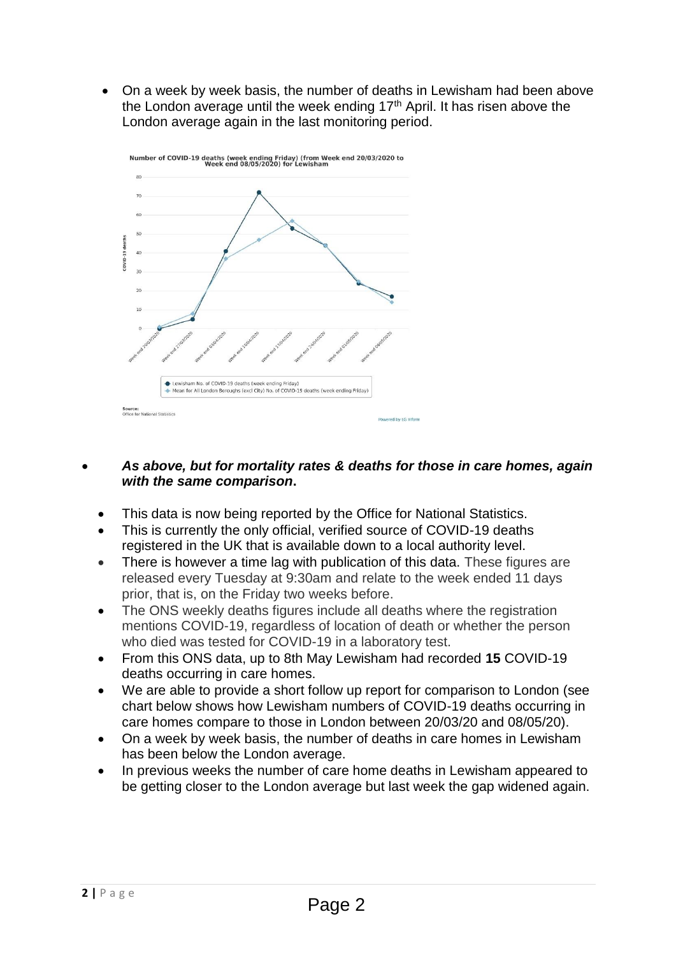On a week by week basis, the number of deaths in Lewisham had been above the London average until the week ending  $17<sup>th</sup>$  April. It has risen above the London average again in the last monitoring period.



#### *As above, but for mortality rates & deaths for those in care homes, again with the same comparison***.**

- This data is now being reported by the Office for National Statistics.
- This is currently the only official, verified source of COVID-19 deaths registered in the UK that is available down to a local authority level.
- There is however a time lag with publication of this data. These figures are released every Tuesday at 9:30am and relate to the week ended 11 days prior, that is, on the Friday two weeks before.
- The ONS weekly deaths figures include all deaths where the registration mentions COVID-19, regardless of location of death or whether the person who died was tested for COVID-19 in a laboratory test.
- From this ONS data, up to 8th May Lewisham had recorded **15** COVID-19 deaths occurring in care homes.
- We are able to provide a short follow up report for comparison to London (see chart below shows how Lewisham numbers of COVID-19 deaths occurring in care homes compare to those in London between 20/03/20 and 08/05/20).
- On a week by week basis, the number of deaths in care homes in Lewisham has been below the London average.
- In previous weeks the number of care home deaths in Lewisham appeared to be getting closer to the London average but last week the gap widened again.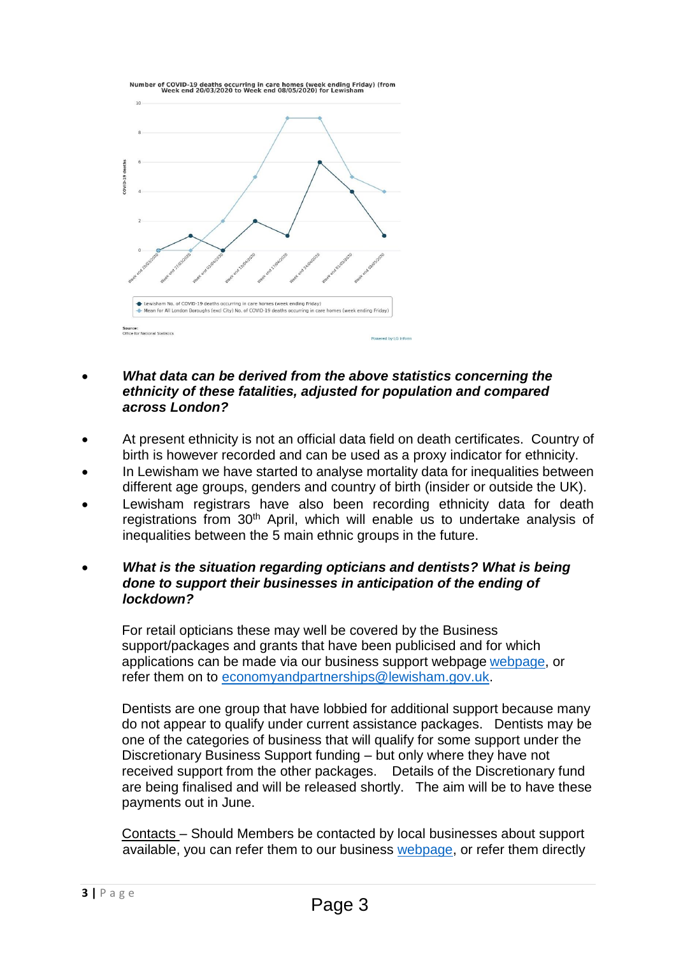

- *What data can be derived from the above statistics concerning the ethnicity of these fatalities, adjusted for population and compared across London?*
- At present ethnicity is not an official data field on death certificates. Country of birth is however recorded and can be used as a proxy indicator for ethnicity.
- In Lewisham we have started to analyse mortality data for inequalities between different age groups, genders and country of birth (insider or outside the UK).
- Lewisham registrars have also been recording ethnicity data for death registrations from 30<sup>th</sup> April, which will enable us to undertake analysis of inequalities between the 5 main ethnic groups in the future.
- *What is the situation regarding opticians and dentists? What is being done to support their businesses in anticipation of the ending of lockdown?*

For retail opticians these may well be covered by the Business support/packages and grants that have been publicised and for which applications can be made via our business support webpage [webpage,](https://lewisham.gov.uk/myservices/coronavirus-covid-19/business-support) or refer them on to [economyandpartnerships@lewisham.gov.uk.](mailto:economyandpartnerships@lewisham.gov.uk)

Dentists are one group that have lobbied for additional support because many do not appear to qualify under current assistance packages. Dentists may be one of the categories of business that will qualify for some support under the Discretionary Business Support funding – but only where they have not received support from the other packages. Details of the Discretionary fund are being finalised and will be released shortly. The aim will be to have these payments out in June.

Contacts – Should Members be contacted by local businesses about support available, you can refer them to our business [webpage,](https://lewisham.gov.uk/myservices/coronavirus-covid-19/business-support) or refer them directly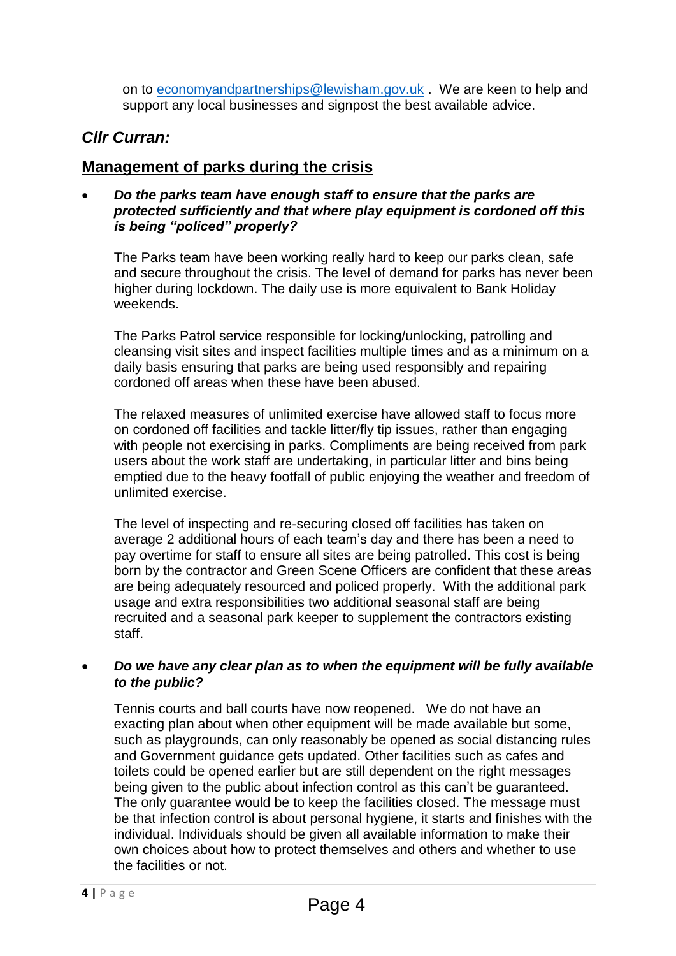on to [economyandpartnerships@lewisham.gov.uk](mailto:economyandpartnerships@lewisham.gov.uk) . We are keen to help and support any local businesses and signpost the best available advice.

# *Cllr Curran:*

# **Management of parks during the crisis**

 *Do the parks team have enough staff to ensure that the parks are protected sufficiently and that where play equipment is cordoned off this is being "policed" properly?*

The Parks team have been working really hard to keep our parks clean, safe and secure throughout the crisis. The level of demand for parks has never been higher during lockdown. The daily use is more equivalent to Bank Holiday weekends.

The Parks Patrol service responsible for locking/unlocking, patrolling and cleansing visit sites and inspect facilities multiple times and as a minimum on a daily basis ensuring that parks are being used responsibly and repairing cordoned off areas when these have been abused.

The relaxed measures of unlimited exercise have allowed staff to focus more on cordoned off facilities and tackle litter/fly tip issues, rather than engaging with people not exercising in parks. Compliments are being received from park users about the work staff are undertaking, in particular litter and bins being emptied due to the heavy footfall of public enjoying the weather and freedom of unlimited exercise.

The level of inspecting and re-securing closed off facilities has taken on average 2 additional hours of each team's day and there has been a need to pay overtime for staff to ensure all sites are being patrolled. This cost is being born by the contractor and Green Scene Officers are confident that these areas are being adequately resourced and policed properly. With the additional park usage and extra responsibilities two additional seasonal staff are being recruited and a seasonal park keeper to supplement the contractors existing staff.

#### *Do we have any clear plan as to when the equipment will be fully available to the public?*

Tennis courts and ball courts have now reopened. We do not have an exacting plan about when other equipment will be made available but some, such as playgrounds, can only reasonably be opened as social distancing rules and Government guidance gets updated. Other facilities such as cafes and toilets could be opened earlier but are still dependent on the right messages being given to the public about infection control as this can't be guaranteed. The only guarantee would be to keep the facilities closed. The message must be that infection control is about personal hygiene, it starts and finishes with the individual. Individuals should be given all available information to make their own choices about how to protect themselves and others and whether to use the facilities or not.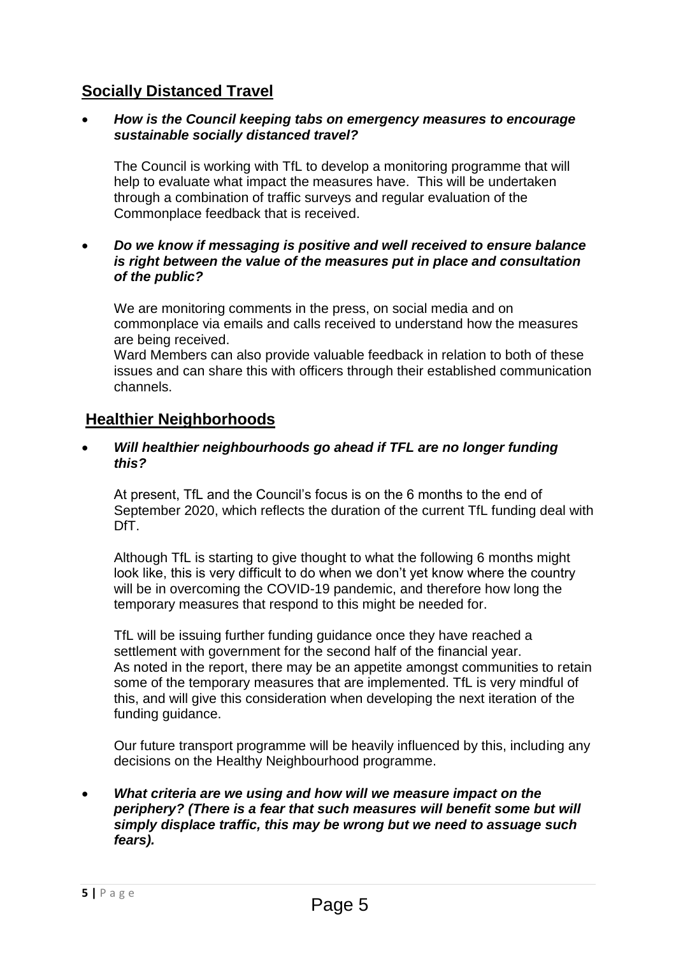# **Socially Distanced Travel**

#### *How is the Council keeping tabs on emergency measures to encourage sustainable socially distanced travel?*

The Council is working with TfL to develop a monitoring programme that will help to evaluate what impact the measures have. This will be undertaken through a combination of traffic surveys and regular evaluation of the Commonplace feedback that is received.

#### *Do we know if messaging is positive and well received to ensure balance is right between the value of the measures put in place and consultation of the public?*

We are monitoring comments in the press, on social media and on commonplace via emails and calls received to understand how the measures are being received.

Ward Members can also provide valuable feedback in relation to both of these issues and can share this with officers through their established communication channels.

## **Healthier Neighborhoods**

#### *Will healthier neighbourhoods go ahead if TFL are no longer funding this?*

At present, TfL and the Council's focus is on the 6 months to the end of September 2020, which reflects the duration of the current TfL funding deal with DfT.

Although TfL is starting to give thought to what the following 6 months might look like, this is very difficult to do when we don't yet know where the country will be in overcoming the COVID-19 pandemic, and therefore how long the temporary measures that respond to this might be needed for.

TfL will be issuing further funding guidance once they have reached a settlement with government for the second half of the financial year. As noted in the report, there may be an appetite amongst communities to retain some of the temporary measures that are implemented. TfL is very mindful of this, and will give this consideration when developing the next iteration of the funding guidance.

Our future transport programme will be heavily influenced by this, including any decisions on the Healthy Neighbourhood programme.

#### *What criteria are we using and how will we measure impact on the periphery? (There is a fear that such measures will benefit some but will simply displace traffic, this may be wrong but we need to assuage such fears).*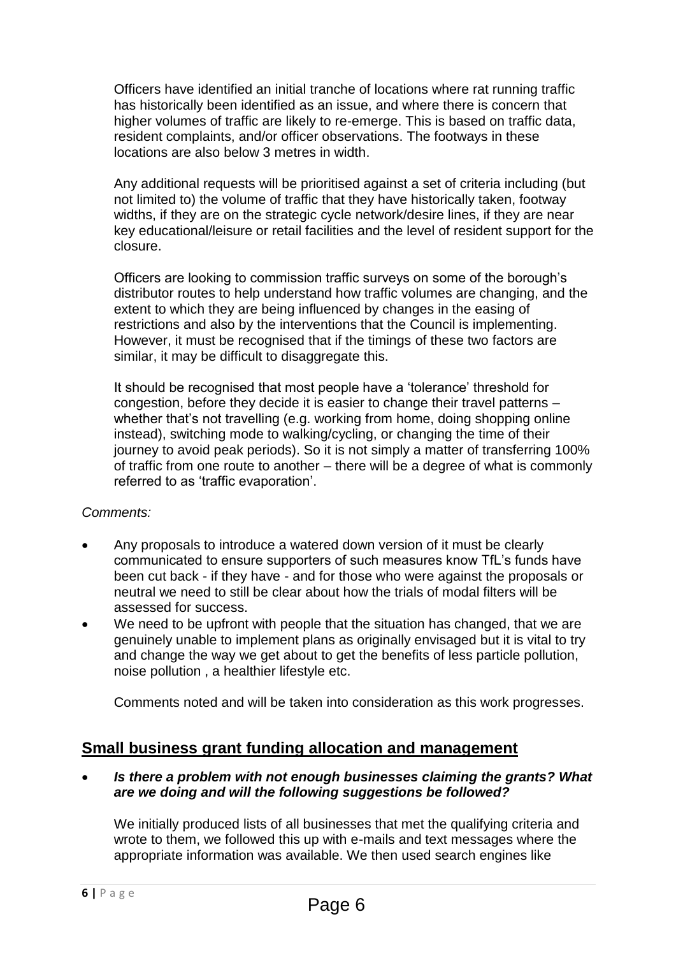Officers have identified an initial tranche of locations where rat running traffic has historically been identified as an issue, and where there is concern that higher volumes of traffic are likely to re-emerge. This is based on traffic data, resident complaints, and/or officer observations. The footways in these locations are also below 3 metres in width.

Any additional requests will be prioritised against a set of criteria including (but not limited to) the volume of traffic that they have historically taken, footway widths, if they are on the strategic cycle network/desire lines, if they are near key educational/leisure or retail facilities and the level of resident support for the closure.

Officers are looking to commission traffic surveys on some of the borough's distributor routes to help understand how traffic volumes are changing, and the extent to which they are being influenced by changes in the easing of restrictions and also by the interventions that the Council is implementing. However, it must be recognised that if the timings of these two factors are similar, it may be difficult to disaggregate this.

It should be recognised that most people have a 'tolerance' threshold for congestion, before they decide it is easier to change their travel patterns – whether that's not travelling (e.g. working from home, doing shopping online instead), switching mode to walking/cycling, or changing the time of their journey to avoid peak periods). So it is not simply a matter of transferring 100% of traffic from one route to another – there will be a degree of what is commonly referred to as 'traffic evaporation'.

#### *Comments:*

- Any proposals to introduce a watered down version of it must be clearly communicated to ensure supporters of such measures know TfL's funds have been cut back - if they have - and for those who were against the proposals or neutral we need to still be clear about how the trials of modal filters will be assessed for success.
- We need to be upfront with people that the situation has changed, that we are genuinely unable to implement plans as originally envisaged but it is vital to try and change the way we get about to get the benefits of less particle pollution, noise pollution , a healthier lifestyle etc.

Comments noted and will be taken into consideration as this work progresses.

# **Small business grant funding allocation and management**

 *Is there a problem with not enough businesses claiming the grants? What are we doing and will the following suggestions be followed?*

We initially produced lists of all businesses that met the qualifying criteria and wrote to them, we followed this up with e-mails and text messages where the appropriate information was available. We then used search engines like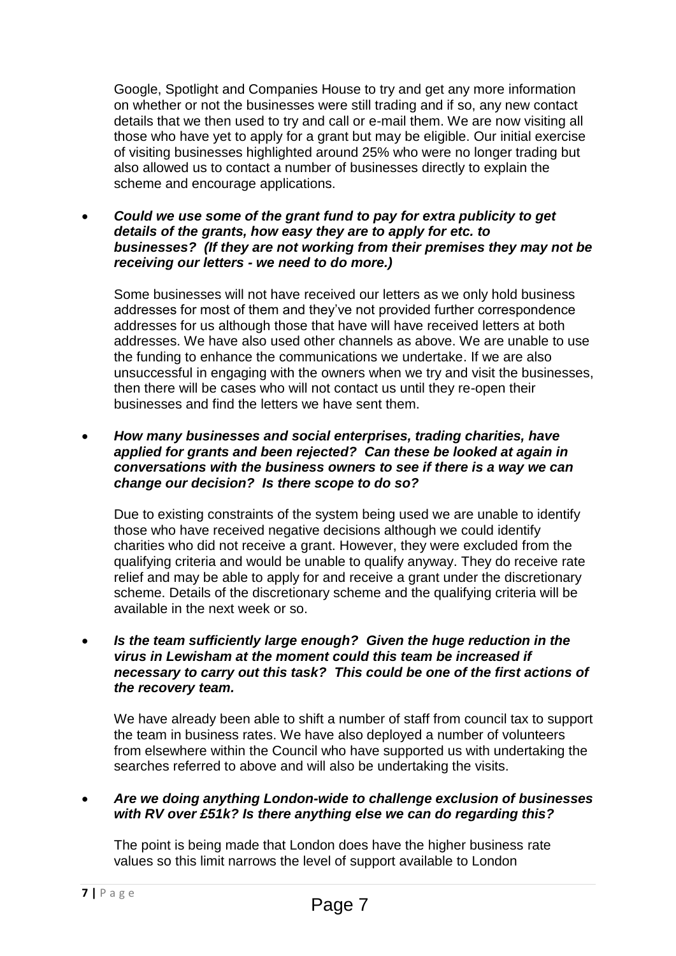Google, Spotlight and Companies House to try and get any more information on whether or not the businesses were still trading and if so, any new contact details that we then used to try and call or e-mail them. We are now visiting all those who have yet to apply for a grant but may be eligible. Our initial exercise of visiting businesses highlighted around 25% who were no longer trading but also allowed us to contact a number of businesses directly to explain the scheme and encourage applications.

 *Could we use some of the grant fund to pay for extra publicity to get details of the grants, how easy they are to apply for etc. to businesses? (If they are not working from their premises they may not be receiving our letters - we need to do more.)*

Some businesses will not have received our letters as we only hold business addresses for most of them and they've not provided further correspondence addresses for us although those that have will have received letters at both addresses. We have also used other channels as above. We are unable to use the funding to enhance the communications we undertake. If we are also unsuccessful in engaging with the owners when we try and visit the businesses, then there will be cases who will not contact us until they re-open their businesses and find the letters we have sent them.

 *How many businesses and social enterprises, trading charities, have applied for grants and been rejected? Can these be looked at again in conversations with the business owners to see if there is a way we can change our decision? Is there scope to do so?*

Due to existing constraints of the system being used we are unable to identify those who have received negative decisions although we could identify charities who did not receive a grant. However, they were excluded from the qualifying criteria and would be unable to qualify anyway. They do receive rate relief and may be able to apply for and receive a grant under the discretionary scheme. Details of the discretionary scheme and the qualifying criteria will be available in the next week or so.

 *Is the team sufficiently large enough? Given the huge reduction in the virus in Lewisham at the moment could this team be increased if necessary to carry out this task? This could be one of the first actions of the recovery team.*

We have already been able to shift a number of staff from council tax to support the team in business rates. We have also deployed a number of volunteers from elsewhere within the Council who have supported us with undertaking the searches referred to above and will also be undertaking the visits.

 *Are we doing anything London-wide to challenge exclusion of businesses with RV over £51k? Is there anything else we can do regarding this?*

The point is being made that London does have the higher business rate values so this limit narrows the level of support available to London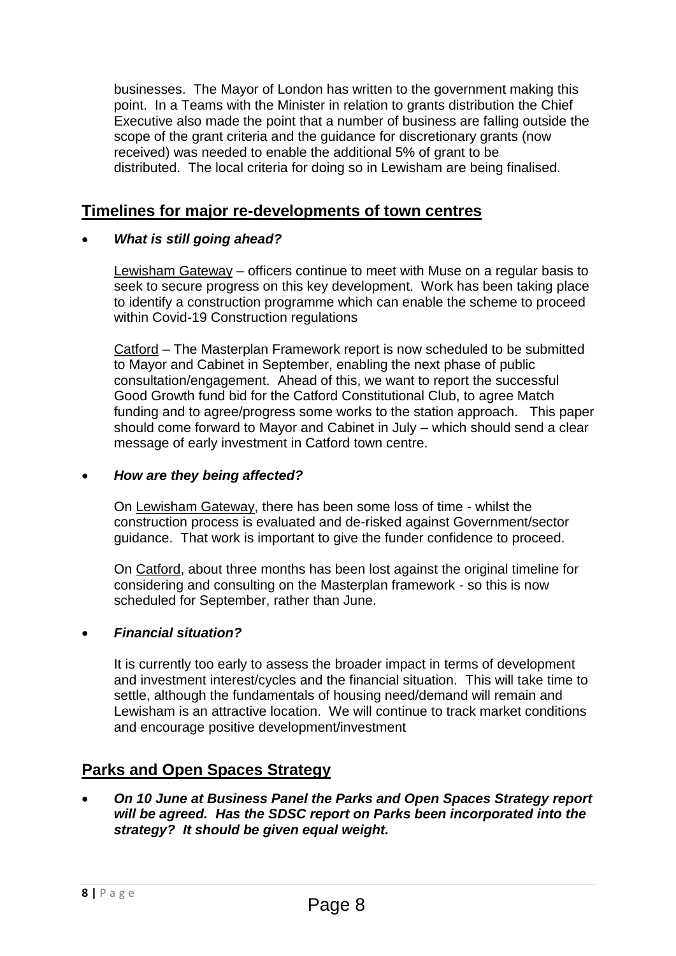businesses. The Mayor of London has written to the government making this point. In a Teams with the Minister in relation to grants distribution the Chief Executive also made the point that a number of business are falling outside the scope of the grant criteria and the guidance for discretionary grants (now received) was needed to enable the additional 5% of grant to be distributed. The local criteria for doing so in Lewisham are being finalised.

## **Timelines for major re-developments of town centres**

#### *What is still going ahead?*

Lewisham Gateway – officers continue to meet with Muse on a regular basis to seek to secure progress on this key development. Work has been taking place to identify a construction programme which can enable the scheme to proceed within Covid-19 Construction regulations

Catford – The Masterplan Framework report is now scheduled to be submitted to Mayor and Cabinet in September, enabling the next phase of public consultation/engagement. Ahead of this, we want to report the successful Good Growth fund bid for the Catford Constitutional Club, to agree Match funding and to agree/progress some works to the station approach. This paper should come forward to Mayor and Cabinet in July – which should send a clear message of early investment in Catford town centre.

#### *How are they being affected?*

On Lewisham Gateway, there has been some loss of time - whilst the construction process is evaluated and de-risked against Government/sector guidance. That work is important to give the funder confidence to proceed.

On Catford, about three months has been lost against the original timeline for considering and consulting on the Masterplan framework - so this is now scheduled for September, rather than June.

#### *Financial situation?*

It is currently too early to assess the broader impact in terms of development and investment interest/cycles and the financial situation. This will take time to settle, although the fundamentals of housing need/demand will remain and Lewisham is an attractive location. We will continue to track market conditions and encourage positive development/investment

### **Parks and Open Spaces Strategy**

 *On 10 June at Business Panel the Parks and Open Spaces Strategy report will be agreed. Has the SDSC report on Parks been incorporated into the strategy? It should be given equal weight.*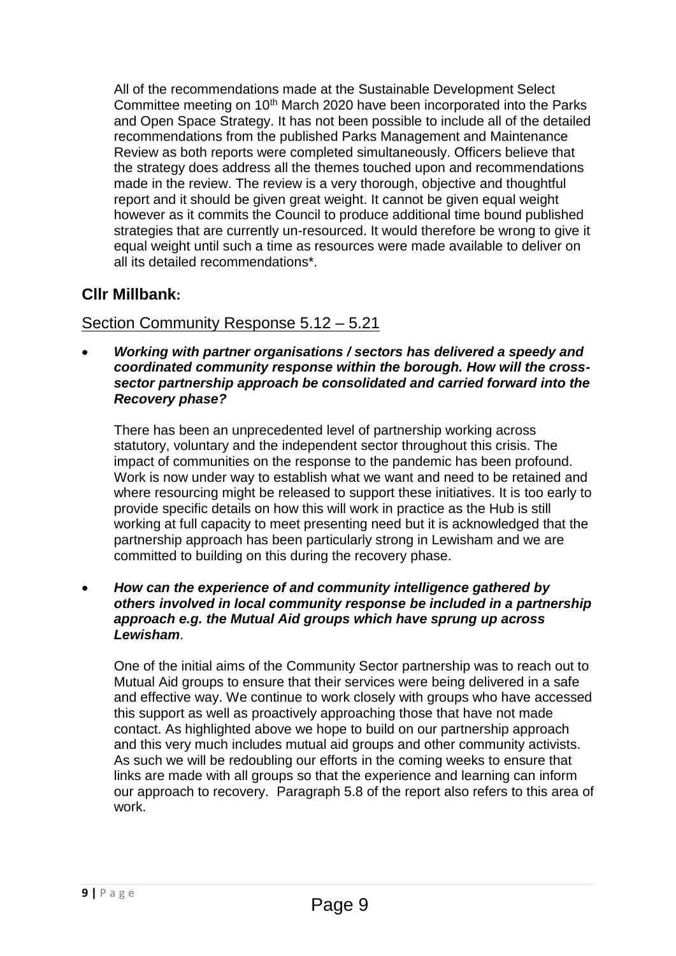All of the recommendations made at the Sustainable Development Select Committee meeting on 10<sup>th</sup> March 2020 have been incorporated into the Parks and Open Space Strategy. It has not been possible to include all of the detailed recommendations from the published Parks Management and Maintenance Review as both reports were completed simultaneously. Officers believe that the strategy does address all the themes touched upon and recommendations made in the review. The review is a very thorough, objective and thoughtful report and it should be given great weight. It cannot be given equal weight however as it commits the Council to produce additional time bound published strategies that are currently un-resourced. It would therefore be wrong to give it equal weight until such a time as resources were made available to deliver on all its detailed recommendations\*.

# **Cllr Millbank:**

# Section Community Response 5.12 – 5.21

 *Working with partner organisations / sectors has delivered a speedy and coordinated community response within the borough. How will the crosssector partnership approach be consolidated and carried forward into the Recovery phase?*

There has been an unprecedented level of partnership working across statutory, voluntary and the independent sector throughout this crisis. The impact of communities on the response to the pandemic has been profound. Work is now under way to establish what we want and need to be retained and where resourcing might be released to support these initiatives. It is too early to provide specific details on how this will work in practice as the Hub is still working at full capacity to meet presenting need but it is acknowledged that the partnership approach has been particularly strong in Lewisham and we are committed to building on this during the recovery phase.

 *How can the experience of and community intelligence gathered by others involved in local community response be included in a partnership approach e.g. the Mutual Aid groups which have sprung up across Lewisham*.

One of the initial aims of the Community Sector partnership was to reach out to Mutual Aid groups to ensure that their services were being delivered in a safe and effective way. We continue to work closely with groups who have accessed this support as well as proactively approaching those that have not made contact. As highlighted above we hope to build on our partnership approach and this very much includes mutual aid groups and other community activists. As such we will be redoubling our efforts in the coming weeks to ensure that links are made with all groups so that the experience and learning can inform our approach to recovery. Paragraph 5.8 of the report also refers to this area of work.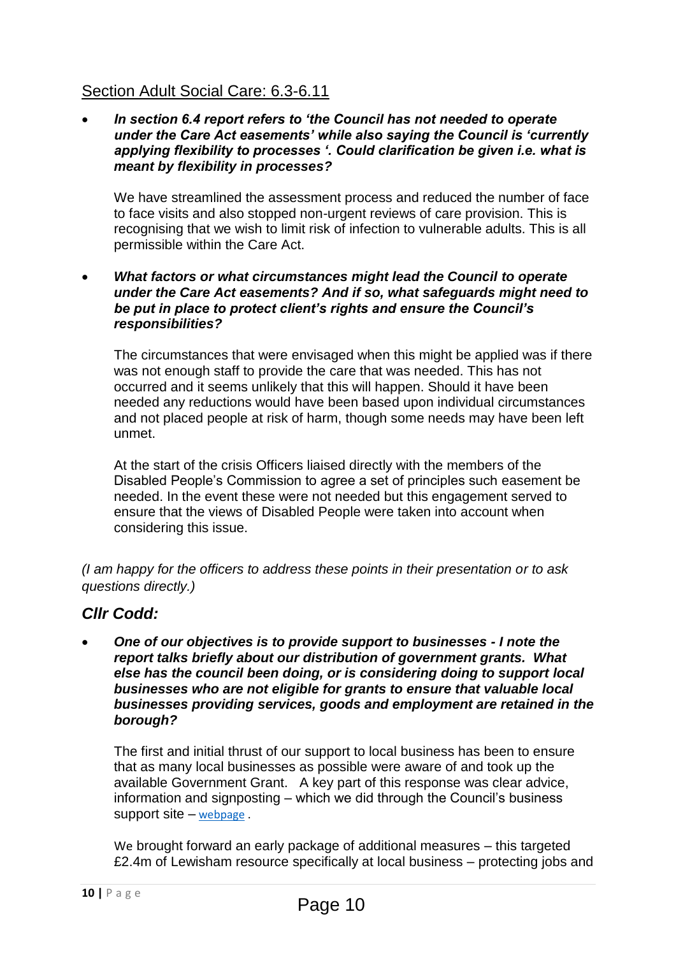# Section Adult Social Care: 6.3-6.11

 *In section 6.4 report refers to 'the Council has not needed to operate under the Care Act easements' while also saying the Council is 'currently applying flexibility to processes '. Could clarification be given i.e. what is meant by flexibility in processes?* 

We have streamlined the assessment process and reduced the number of face to face visits and also stopped non-urgent reviews of care provision. This is recognising that we wish to limit risk of infection to vulnerable adults. This is all permissible within the Care Act.

 *What factors or what circumstances might lead the Council to operate under the Care Act easements? And if so, what safeguards might need to be put in place to protect client's rights and ensure the Council's responsibilities?* 

The circumstances that were envisaged when this might be applied was if there was not enough staff to provide the care that was needed. This has not occurred and it seems unlikely that this will happen. Should it have been needed any reductions would have been based upon individual circumstances and not placed people at risk of harm, though some needs may have been left unmet.

At the start of the crisis Officers liaised directly with the members of the Disabled People's Commission to agree a set of principles such easement be needed. In the event these were not needed but this engagement served to ensure that the views of Disabled People were taken into account when considering this issue.

*(I am happy for the officers to address these points in their presentation or to ask questions directly.)* 

# *Cllr Codd:*

 *One of our objectives is to provide support to businesses - I note the report talks briefly about our distribution of government grants. What else has the council been doing, or is considering doing to support local businesses who are not eligible for grants to ensure that valuable local businesses providing services, goods and employment are retained in the borough?*

The first and initial thrust of our support to local business has been to ensure that as many local businesses as possible were aware of and took up the available Government Grant. A key part of this response was clear advice, information and signposting – which we did through the Council's business support site – [webpage](https://lewisham.gov.uk/myservices/coronavirus-covid-19/business-support) .

We brought forward an early package of additional measures – this targeted £2.4m of Lewisham resource specifically at local business – protecting jobs and